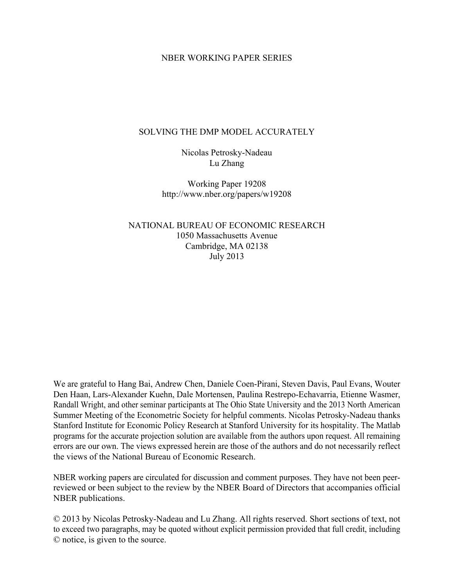#### NBER WORKING PAPER SERIES

#### SOLVING THE DMP MODEL ACCURATELY

Nicolas Petrosky-Nadeau Lu Zhang

Working Paper 19208 http://www.nber.org/papers/w19208

NATIONAL BUREAU OF ECONOMIC RESEARCH 1050 Massachusetts Avenue Cambridge, MA 02138 July 2013

We are grateful to Hang Bai, Andrew Chen, Daniele Coen-Pirani, Steven Davis, Paul Evans, Wouter Den Haan, Lars-Alexander Kuehn, Dale Mortensen, Paulina Restrepo-Echavarria, Etienne Wasmer, Randall Wright, and other seminar participants at The Ohio State University and the 2013 North American Summer Meeting of the Econometric Society for helpful comments. Nicolas Petrosky-Nadeau thanks Stanford Institute for Economic Policy Research at Stanford University for its hospitality. The Matlab programs for the accurate projection solution are available from the authors upon request. All remaining errors are our own. The views expressed herein are those of the authors and do not necessarily reflect the views of the National Bureau of Economic Research.

NBER working papers are circulated for discussion and comment purposes. They have not been peerreviewed or been subject to the review by the NBER Board of Directors that accompanies official NBER publications.

© 2013 by Nicolas Petrosky-Nadeau and Lu Zhang. All rights reserved. Short sections of text, not to exceed two paragraphs, may be quoted without explicit permission provided that full credit, including © notice, is given to the source.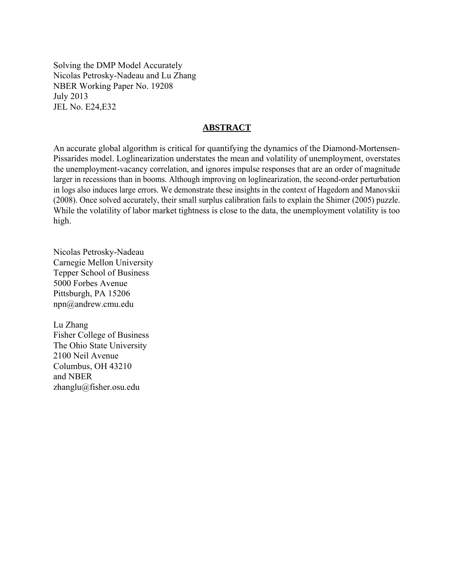Solving the DMP Model Accurately Nicolas Petrosky-Nadeau and Lu Zhang NBER Working Paper No. 19208 July 2013 JEL No. E24,E32

#### **ABSTRACT**

An accurate global algorithm is critical for quantifying the dynamics of the Diamond-Mortensen-Pissarides model. Loglinearization understates the mean and volatility of unemployment, overstates the unemployment-vacancy correlation, and ignores impulse responses that are an order of magnitude larger in recessions than in booms. Although improving on loglinearization, the second-order perturbation in logs also induces large errors. We demonstrate these insights in the context of Hagedorn and Manovskii (2008). Once solved accurately, their small surplus calibration fails to explain the Shimer (2005) puzzle. While the volatility of labor market tightness is close to the data, the unemployment volatility is too high.

Nicolas Petrosky-Nadeau Carnegie Mellon University Tepper School of Business 5000 Forbes Avenue Pittsburgh, PA 15206 npn@andrew.cmu.edu

Lu Zhang Fisher College of Business The Ohio State University 2100 Neil Avenue Columbus, OH 43210 and NBER zhanglu@fisher.osu.edu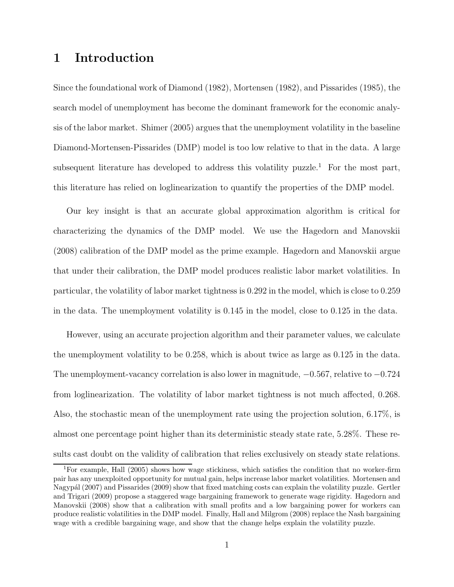# **1 Introduction**

Since the foundational work of Diamond (1982), Mortensen (1982), and Pissarides (1985), the search model of unemployment has become the dominant framework for the economic analysis of the labor market. Shimer (2005) argues that the unemployment volatility in the baseline Diamond-Mortensen-Pissarides (DMP) model is too low relative to that in the data. A large subsequent literature has developed to address this volatility puzzle.<sup>1</sup> For the most part, this literature has relied on loglinearization to quantify the properties of the DMP model.

Our key insight is that an accurate global approximation algorithm is critical for characterizing the dynamics of the DMP model. We use the Hagedorn and Manovskii (2008) calibration of the DMP model as the prime example. Hagedorn and Manovskii argue that under their calibration, the DMP model produces realistic labor market volatilities. In particular, the volatility of labor market tightness is 0.292 in the model, which is close to 0.259 in the data. The unemployment volatility is 0.145 in the model, close to 0.125 in the data.

However, using an accurate projection algorithm and their parameter values, we calculate the unemployment volatility to be 0.258, which is about twice as large as 0.125 in the data. The unemployment-vacancy correlation is also lower in magnitude,  $-0.567$ , relative to  $-0.724$ from loglinearization. The volatility of labor market tightness is not much affected, 0.268. Also, the stochastic mean of the unemployment rate using the projection solution, 6.17%, is almost one percentage point higher than its deterministic steady state rate, 5.28%. These results cast doubt on the validity of calibration that relies exclusively on steady state relations.

<sup>1</sup>For example, Hall (2005) shows how wage stickiness, which satisfies the condition that no worker-firm pair has any unexploited opportunity for mutual gain, helps increase labor market volatilities. Mortensen and Nagypál (2007) and Pissarides (2009) show that fixed matching costs can explain the volatility puzzle. Gertler and Trigari (2009) propose a staggered wage bargaining framework to generate wage rigidity. Hagedorn and Manovskii (2008) show that a calibration with small profits and a low bargaining power for workers can produce realistic volatilities in the DMP model. Finally, Hall and Milgrom (2008) replace the Nash bargaining wage with a credible bargaining wage, and show that the change helps explain the volatility puzzle.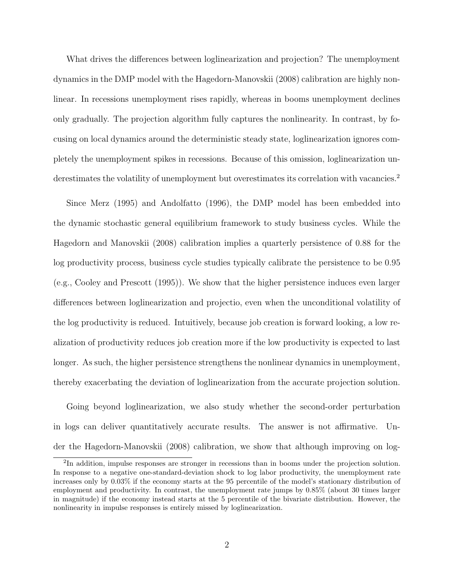What drives the differences between loglinearization and projection? The unemployment dynamics in the DMP model with the Hagedorn-Manovskii (2008) calibration are highly nonlinear. In recessions unemployment rises rapidly, whereas in booms unemployment declines only gradually. The projection algorithm fully captures the nonlinearity. In contrast, by focusing on local dynamics around the deterministic steady state, loglinearization ignores completely the unemployment spikes in recessions. Because of this omission, loglinearization underestimates the volatility of unemployment but overestimates its correlation with vacancies.<sup>2</sup>

Since Merz (1995) and Andolfatto (1996), the DMP model has been embedded into the dynamic stochastic general equilibrium framework to study business cycles. While the Hagedorn and Manovskii (2008) calibration implies a quarterly persistence of 0.88 for the log productivity process, business cycle studies typically calibrate the persistence to be 0.95 (e.g., Cooley and Prescott (1995)). We show that the higher persistence induces even larger differences between loglinearization and projectio, even when the unconditional volatility of the log productivity is reduced. Intuitively, because job creation is forward looking, a low realization of productivity reduces job creation more if the low productivity is expected to last longer. As such, the higher persistence strengthens the nonlinear dynamics in unemployment, thereby exacerbating the deviation of loglinearization from the accurate projection solution.

Going beyond loglinearization, we also study whether the second-order perturbation in logs can deliver quantitatively accurate results. The answer is not affirmative. Under the Hagedorn-Manovskii (2008) calibration, we show that although improving on log-

<sup>2</sup>In addition, impulse responses are stronger in recessions than in booms under the projection solution. In response to a negative one-standard-deviation shock to log labor productivity, the unemployment rate increases only by 0.03% if the economy starts at the 95 percentile of the model's stationary distribution of employment and productivity. In contrast, the unemployment rate jumps by 0.85% (about 30 times larger in magnitude) if the economy instead starts at the 5 percentile of the bivariate distribution. However, the nonlinearity in impulse responses is entirely missed by loglinearization.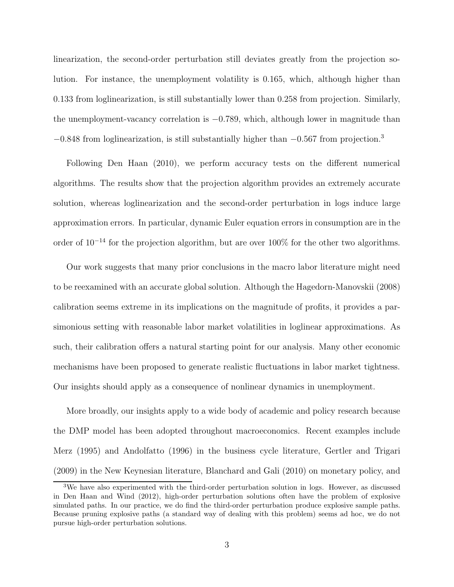linearization, the second-order perturbation still deviates greatly from the projection solution. For instance, the unemployment volatility is 0.165, which, although higher than 0.133 from loglinearization, is still substantially lower than 0.258 from projection. Similarly, the unemployment-vacancy correlation is  $-0.789$ , which, although lower in magnitude than  $-0.848$  from loglinearization, is still substantially higher than  $-0.567$  from projection.<sup>3</sup>

Following Den Haan (2010), we perform accuracy tests on the different numerical algorithms. The results show that the projection algorithm provides an extremely accurate solution, whereas loglinearization and the second-order perturbation in logs induce large approximation errors. In particular, dynamic Euler equation errors in consumption are in the order of 10<sup>−</sup><sup>14</sup> for the projection algorithm, but are over 100% for the other two algorithms.

Our work suggests that many prior conclusions in the macro labor literature might need to be reexamined with an accurate global solution. Although the Hagedorn-Manovskii (2008) calibration seems extreme in its implications on the magnitude of profits, it provides a parsimonious setting with reasonable labor market volatilities in loglinear approximations. As such, their calibration offers a natural starting point for our analysis. Many other economic mechanisms have been proposed to generate realistic fluctuations in labor market tightness. Our insights should apply as a consequence of nonlinear dynamics in unemployment.

More broadly, our insights apply to a wide body of academic and policy research because the DMP model has been adopted throughout macroeconomics. Recent examples include Merz (1995) and Andolfatto (1996) in the business cycle literature, Gertler and Trigari (2009) in the New Keynesian literature, Blanchard and Gali (2010) on monetary policy, and

<sup>&</sup>lt;sup>3</sup>We have also experimented with the third-order perturbation solution in logs. However, as discussed in Den Haan and Wind (2012), high-order perturbation solutions often have the problem of explosive simulated paths. In our practice, we do find the third-order perturbation produce explosive sample paths. Because pruning explosive paths (a standard way of dealing with this problem) seems ad hoc, we do not pursue high-order perturbation solutions.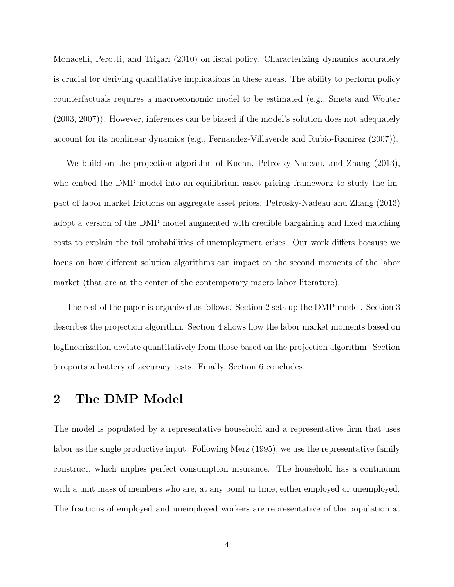Monacelli, Perotti, and Trigari (2010) on fiscal policy. Characterizing dynamics accurately is crucial for deriving quantitative implications in these areas. The ability to perform policy counterfactuals requires a macroeconomic model to be estimated (e.g., Smets and Wouter (2003, 2007)). However, inferences can be biased if the model's solution does not adequately account for its nonlinear dynamics (e.g., Fernandez-Villaverde and Rubio-Ramirez (2007)).

We build on the projection algorithm of Kuehn, Petrosky-Nadeau, and Zhang (2013), who embed the DMP model into an equilibrium asset pricing framework to study the impact of labor market frictions on aggregate asset prices. Petrosky-Nadeau and Zhang (2013) adopt a version of the DMP model augmented with credible bargaining and fixed matching costs to explain the tail probabilities of unemployment crises. Our work differs because we focus on how different solution algorithms can impact on the second moments of the labor market (that are at the center of the contemporary macro labor literature).

The rest of the paper is organized as follows. Section 2 sets up the DMP model. Section 3 describes the projection algorithm. Section 4 shows how the labor market moments based on loglinearization deviate quantitatively from those based on the projection algorithm. Section 5 reports a battery of accuracy tests. Finally, Section 6 concludes.

## **2 The DMP Model**

The model is populated by a representative household and a representative firm that uses labor as the single productive input. Following Merz (1995), we use the representative family construct, which implies perfect consumption insurance. The household has a continuum with a unit mass of members who are, at any point in time, either employed or unemployed. The fractions of employed and unemployed workers are representative of the population at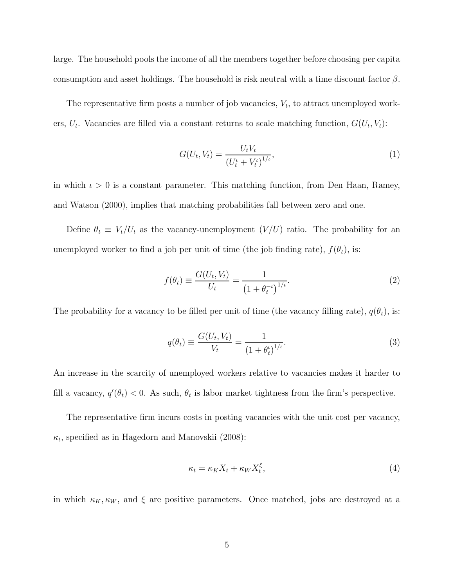large. The household pools the income of all the members together before choosing per capita consumption and asset holdings. The household is risk neutral with a time discount factor  $\beta$ .

The representative firm posts a number of job vacancies,  $V_t$ , to attract unemployed workers,  $U_t$ . Vacancies are filled via a constant returns to scale matching function,  $G(U_t, V_t)$ :

$$
G(U_t, V_t) = \frac{U_t V_t}{\left(U_t^t + V_t^t\right)^{1/t}},\tag{1}
$$

in which  $\iota > 0$  is a constant parameter. This matching function, from Den Haan, Ramey, and Watson (2000), implies that matching probabilities fall between zero and one.

Define  $\theta_t \equiv V_t/U_t$  as the vacancy-unemployment  $(V/U)$  ratio. The probability for an unemployed worker to find a job per unit of time (the job finding rate),  $f(\theta_t)$ , is:

$$
f(\theta_t) \equiv \frac{G(U_t, V_t)}{U_t} = \frac{1}{\left(1 + \theta_t^{-\iota}\right)^{1/\iota}}.
$$
 (2)

The probability for a vacancy to be filled per unit of time (the vacancy filling rate),  $q(\theta_t)$ , is:

$$
q(\theta_t) \equiv \frac{G(U_t, V_t)}{V_t} = \frac{1}{(1 + \theta_t^t)^{1/t}}.
$$
\n(3)

An increase in the scarcity of unemployed workers relative to vacancies makes it harder to fill a vacancy,  $q'(\theta_t) < 0$ . As such,  $\theta_t$  is labor market tightness from the firm's perspective.

The representative firm incurs costs in posting vacancies with the unit cost per vacancy,  $\kappa_t$ , specified as in Hagedorn and Manovskii (2008):

$$
\kappa_t = \kappa_K X_t + \kappa_W X_t^{\xi},\tag{4}
$$

in which  $\kappa_K, \kappa_W$ , and  $\xi$  are positive parameters. Once matched, jobs are destroyed at a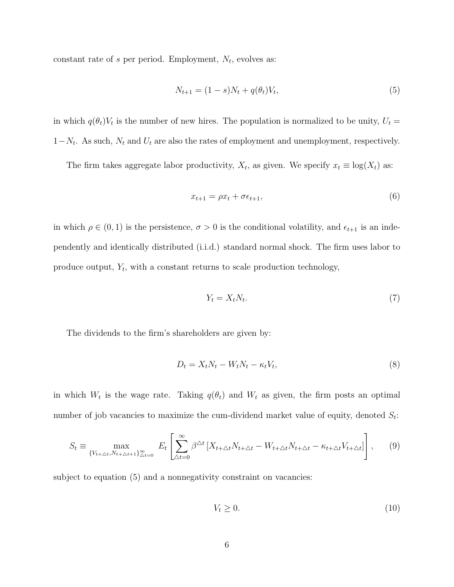constant rate of s per period. Employment,  $N_t$ , evolves as:

$$
N_{t+1} = (1 - s)N_t + q(\theta_t)V_t,
$$
\n(5)

in which  $q(\theta_t)V_t$  is the number of new hires. The population is normalized to be unity,  $U_t =$  $1-N_t$ . As such,  $N_t$  and  $U_t$  are also the rates of employment and unemployment, respectively.

The firm takes aggregate labor productivity,  $X_t$ , as given. We specify  $x_t \equiv \log(X_t)$  as:

$$
x_{t+1} = \rho x_t + \sigma \epsilon_{t+1},\tag{6}
$$

in which  $\rho \in (0, 1)$  is the persistence,  $\sigma > 0$  is the conditional volatility, and  $\epsilon_{t+1}$  is an independently and identically distributed (i.i.d.) standard normal shock. The firm uses labor to produce output,  $Y_t$ , with a constant returns to scale production technology,

$$
Y_t = X_t N_t. \tag{7}
$$

The dividends to the firm's shareholders are given by:

$$
D_t = X_t N_t - W_t N_t - \kappa_t V_t, \tag{8}
$$

in which  $W_t$  is the wage rate. Taking  $q(\theta_t)$  and  $W_t$  as given, the firm posts an optimal number of job vacancies to maximize the cum-dividend market value of equity, denoted  $S_t$ :

$$
S_t \equiv \max_{\{V_{t+\Delta t}, N_{t+\Delta t+1}\}_{\Delta t=0}^{\infty}} E_t \left[ \sum_{\Delta t=0}^{\infty} \beta^{\Delta t} \left[ X_{t+\Delta t} N_{t+\Delta t} - W_{t+\Delta t} N_{t+\Delta t} - \kappa_{t+\Delta t} V_{t+\Delta t} \right] \right], \tag{9}
$$

subject to equation  $(5)$  and a nonnegativity constraint on vacancies:

$$
V_t \ge 0. \tag{10}
$$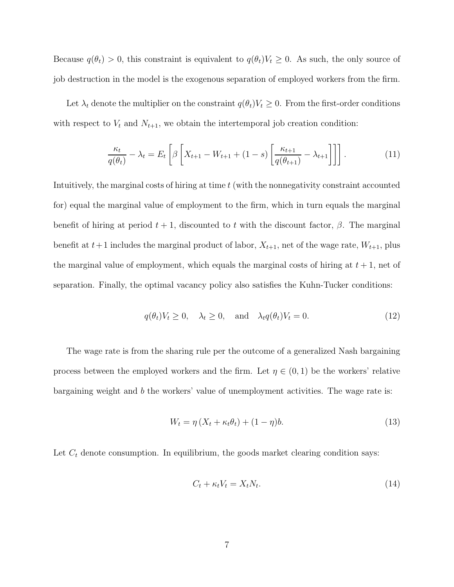Because  $q(\theta_t) > 0$ , this constraint is equivalent to  $q(\theta_t)V_t \geq 0$ . As such, the only source of job destruction in the model is the exogenous separation of employed workers from the firm.

Let  $\lambda_t$  denote the multiplier on the constraint  $q(\theta_t)V_t \geq 0$ . From the first-order conditions with respect to  $V_t$  and  $N_{t+1}$ , we obtain the intertemporal job creation condition:

$$
\frac{\kappa_t}{q(\theta_t)} - \lambda_t = E_t \left[ \beta \left[ X_{t+1} - W_{t+1} + (1-s) \left[ \frac{\kappa_{t+1}}{q(\theta_{t+1})} - \lambda_{t+1} \right] \right] \right]. \tag{11}
$$

Intuitively, the marginal costs of hiring at time t (with the nonnegativity constraint accounted for) equal the marginal value of employment to the firm, which in turn equals the marginal benefit of hiring at period  $t + 1$ , discounted to t with the discount factor,  $\beta$ . The marginal benefit at  $t+1$  includes the marginal product of labor,  $X_{t+1}$ , net of the wage rate,  $W_{t+1}$ , plus the marginal value of employment, which equals the marginal costs of hiring at  $t + 1$ , net of separation. Finally, the optimal vacancy policy also satisfies the Kuhn-Tucker conditions:

$$
q(\theta_t)V_t \ge 0
$$
,  $\lambda_t \ge 0$ , and  $\lambda_t q(\theta_t)V_t = 0$ . (12)

The wage rate is from the sharing rule per the outcome of a generalized Nash bargaining process between the employed workers and the firm. Let  $\eta \in (0,1)$  be the workers' relative bargaining weight and  $b$  the workers' value of unemployment activities. The wage rate is:

$$
W_t = \eta \left( X_t + \kappa_t \theta_t \right) + (1 - \eta) b. \tag{13}
$$

Let  $C_t$  denote consumption. In equilibrium, the goods market clearing condition says:

$$
C_t + \kappa_t V_t = X_t N_t. \tag{14}
$$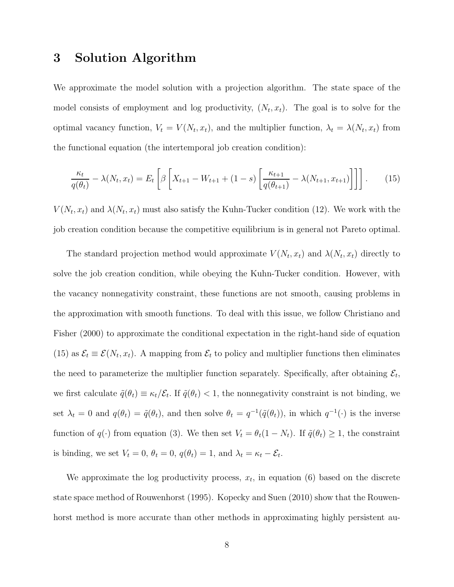# **3 Solution Algorithm**

We approximate the model solution with a projection algorithm. The state space of the model consists of employment and log productivity,  $(N_t, x_t)$ . The goal is to solve for the optimal vacancy function,  $V_t = V(N_t, x_t)$ , and the multiplier function,  $\lambda_t = \lambda(N_t, x_t)$  from the functional equation (the intertemporal job creation condition):

$$
\frac{\kappa_t}{q(\theta_t)} - \lambda(N_t, x_t) = E_t \left[ \beta \left[ X_{t+1} - W_{t+1} + (1-s) \left[ \frac{\kappa_{t+1}}{q(\theta_{t+1})} - \lambda(N_{t+1}, x_{t+1}) \right] \right] \right].
$$
 (15)

 $V(N_t, x_t)$  and  $\lambda(N_t, x_t)$  must also satisfy the Kuhn-Tucker condition (12). We work with the job creation condition because the competitive equilibrium is in general not Pareto optimal.

The standard projection method would approximate  $V(N_t, x_t)$  and  $\lambda(N_t, x_t)$  directly to solve the job creation condition, while obeying the Kuhn-Tucker condition. However, with the vacancy nonnegativity constraint, these functions are not smooth, causing problems in the approximation with smooth functions. To deal with this issue, we follow Christiano and Fisher (2000) to approximate the conditional expectation in the right-hand side of equation (15) as  $\mathcal{E}_t \equiv \mathcal{E}(N_t, x_t)$ . A mapping from  $\mathcal{E}_t$  to policy and multiplier functions then eliminates the need to parameterize the multiplier function separately. Specifically, after obtaining  $\mathcal{E}_t$ , we first calculate  $\tilde{q}(\theta_t) \equiv \kappa_t/\mathcal{E}_t$ . If  $\tilde{q}(\theta_t) < 1$ , the nonnegativity constraint is not binding, we set  $\lambda_t = 0$  and  $q(\theta_t) = \tilde{q}(\theta_t)$ , and then solve  $\theta_t = q^{-1}(\tilde{q}(\theta_t))$ , in which  $q^{-1}(\cdot)$  is the inverse function of  $q(\cdot)$  from equation (3). We then set  $V_t = \theta_t(1 - N_t)$ . If  $\tilde{q}(\theta_t) \geq 1$ , the constraint is binding, we set  $V_t = 0$ ,  $\theta_t = 0$ ,  $q(\theta_t) = 1$ , and  $\lambda_t = \kappa_t - \mathcal{E}_t$ .

We approximate the log productivity process,  $x_t$ , in equation (6) based on the discrete state space method of Rouwenhorst (1995). Kopecky and Suen (2010) show that the Rouwenhorst method is more accurate than other methods in approximating highly persistent au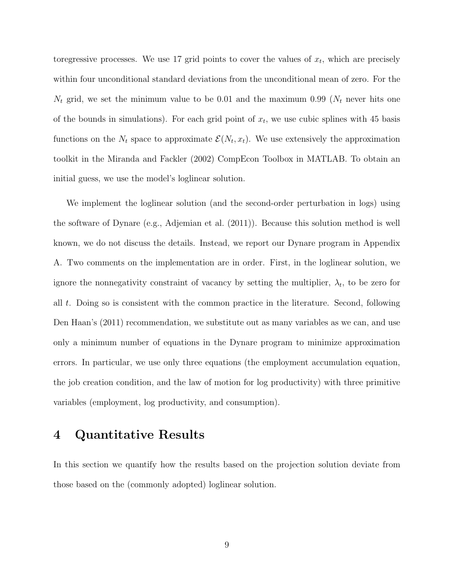toregressive processes. We use 17 grid points to cover the values of  $x_t$ , which are precisely within four unconditional standard deviations from the unconditional mean of zero. For the  $N_t$  grid, we set the minimum value to be 0.01 and the maximum 0.99 ( $N_t$  never hits one of the bounds in simulations). For each grid point of  $x_t$ , we use cubic splines with 45 basis functions on the  $N_t$  space to approximate  $\mathcal{E}(N_t, x_t)$ . We use extensively the approximation toolkit in the Miranda and Fackler (2002) CompEcon Toolbox in MATLAB. To obtain an initial guess, we use the model's loglinear solution.

We implement the loglinear solution (and the second-order perturbation in logs) using the software of Dynare (e.g., Adjemian et al. (2011)). Because this solution method is well known, we do not discuss the details. Instead, we report our Dynare program in Appendix A. Two comments on the implementation are in order. First, in the loglinear solution, we ignore the nonnegativity constraint of vacancy by setting the multiplier,  $\lambda_t$ , to be zero for all t. Doing so is consistent with the common practice in the literature. Second, following Den Haan's (2011) recommendation, we substitute out as many variables as we can, and use only a minimum number of equations in the Dynare program to minimize approximation errors. In particular, we use only three equations (the employment accumulation equation, the job creation condition, and the law of motion for log productivity) with three primitive variables (employment, log productivity, and consumption).

## **4 Quantitative Results**

In this section we quantify how the results based on the projection solution deviate from those based on the (commonly adopted) loglinear solution.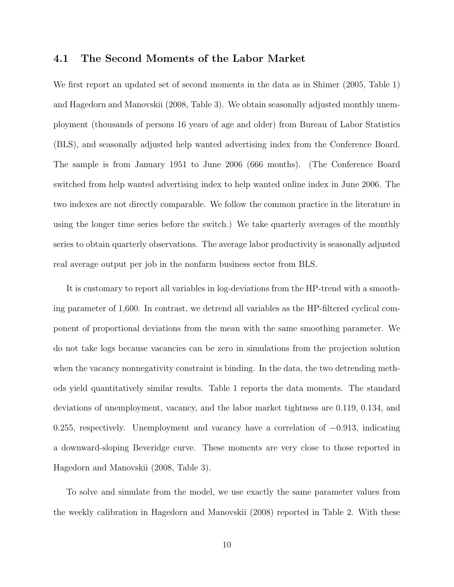#### **4.1 The Second Moments of the Labor Market**

We first report an updated set of second moments in the data as in Shimer (2005, Table 1) and Hagedorn and Manovskii (2008, Table 3). We obtain seasonally adjusted monthly unemployment (thousands of persons 16 years of age and older) from Bureau of Labor Statistics (BLS), and seasonally adjusted help wanted advertising index from the Conference Board. The sample is from January 1951 to June 2006 (666 months). (The Conference Board switched from help wanted advertising index to help wanted online index in June 2006. The two indexes are not directly comparable. We follow the common practice in the literature in using the longer time series before the switch.) We take quarterly averages of the monthly series to obtain quarterly observations. The average labor productivity is seasonally adjusted real average output per job in the nonfarm business sector from BLS.

It is customary to report all variables in log-deviations from the HP-trend with a smoothing parameter of 1,600. In contrast, we detrend all variables as the HP-filtered cyclical component of proportional deviations from the mean with the same smoothing parameter. We do not take logs because vacancies can be zero in simulations from the projection solution when the vacancy nonnegativity constraint is binding. In the data, the two detrending methods yield quantitatively similar results. Table 1 reports the data moments. The standard deviations of unemployment, vacancy, and the labor market tightness are 0.119, 0.134, and 0.255, respectively. Unemployment and vacancy have a correlation of −0.913, indicating a downward-sloping Beveridge curve. These moments are very close to those reported in Hagedorn and Manovskii (2008, Table 3).

To solve and simulate from the model, we use exactly the same parameter values from the weekly calibration in Hagedorn and Manovskii (2008) reported in Table 2. With these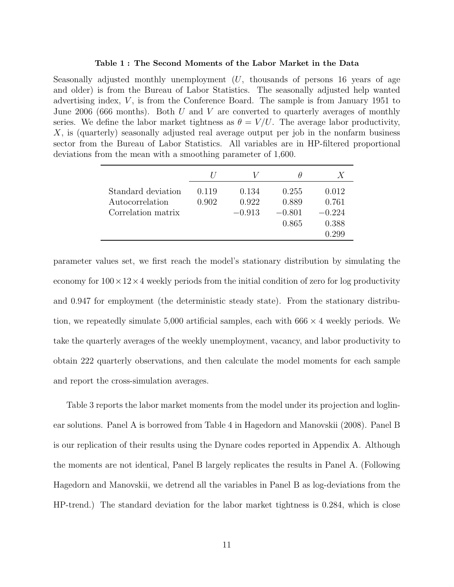#### **Table 1 : The Second Moments of the Labor Market in the Data**

Seasonally adjusted monthly unemployment  $(U,$  thousands of persons 16 years of age and older) is from the Bureau of Labor Statistics. The seasonally adjusted help wanted advertising index,  $V$ , is from the Conference Board. The sample is from January 1951 to June 2006 (666 months). Both U and V are converted to quarterly averages of monthly series. We define the labor market tightness as  $\theta = V/U$ . The average labor productivity, X, is (quarterly) seasonally adjusted real average output per job in the nonfarm business sector from the Bureau of Labor Statistics. All variables are in HP-filtered proportional deviations from the mean with a smoothing parameter of 1,600.

|                                                             |                |                            | Η                                   | X                                            |
|-------------------------------------------------------------|----------------|----------------------------|-------------------------------------|----------------------------------------------|
| Standard deviation<br>Autocorrelation<br>Correlation matrix | 0.119<br>0.902 | 0.134<br>0.922<br>$-0.913$ | 0.255<br>0.889<br>$-0.801$<br>0.865 | 0.012<br>0.761<br>$-0.224$<br>0.388<br>0.299 |

parameter values set, we first reach the model's stationary distribution by simulating the economy for  $100 \times 12 \times 4$  weekly periods from the initial condition of zero for log productivity and 0.947 for employment (the deterministic steady state). From the stationary distribution, we repeatedly simulate 5,000 artificial samples, each with  $666 \times 4$  weekly periods. We take the quarterly averages of the weekly unemployment, vacancy, and labor productivity to obtain 222 quarterly observations, and then calculate the model moments for each sample and report the cross-simulation averages.

Table 3 reports the labor market moments from the model under its projection and loglinear solutions. Panel A is borrowed from Table 4 in Hagedorn and Manovskii (2008). Panel B is our replication of their results using the Dynare codes reported in Appendix A. Although the moments are not identical, Panel B largely replicates the results in Panel A. (Following Hagedorn and Manovskii, we detrend all the variables in Panel B as log-deviations from the HP-trend.) The standard deviation for the labor market tightness is 0.284, which is close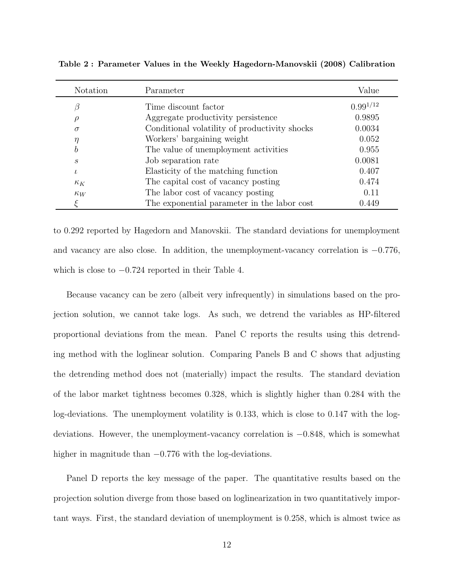| Notation          | Parameter                                     | Value         |
|-------------------|-----------------------------------------------|---------------|
| β                 | Time discount factor                          | $0.99^{1/12}$ |
| ρ                 | Aggregate productivity persistence            | 0.9895        |
| $\sigma$          | Conditional volatility of productivity shocks | 0.0034        |
| $\eta$            | Workers' bargaining weight                    | 0.052         |
| b                 | The value of unemployment activities          | 0.955         |
| $\mathcal{S}_{0}$ | Job separation rate                           | 0.0081        |
| $\iota$           | Elasticity of the matching function           | 0.407         |
| $\kappa_K$        | The capital cost of vacancy posting           | 0.474         |
| $\kappa_W$        | The labor cost of vacancy posting             | 0.11          |
|                   | The exponential parameter in the labor cost   | 0.449         |

**Table 2 : Parameter Values in the Weekly Hagedorn-Manovskii (2008) Calibration**

to 0.292 reported by Hagedorn and Manovskii. The standard deviations for unemployment and vacancy are also close. In addition, the unemployment-vacancy correlation is −0.776, which is close to  $-0.724$  reported in their Table 4.

Because vacancy can be zero (albeit very infrequently) in simulations based on the projection solution, we cannot take logs. As such, we detrend the variables as HP-filtered proportional deviations from the mean. Panel C reports the results using this detrending method with the loglinear solution. Comparing Panels B and C shows that adjusting the detrending method does not (materially) impact the results. The standard deviation of the labor market tightness becomes 0.328, which is slightly higher than 0.284 with the log-deviations. The unemployment volatility is 0.133, which is close to 0.147 with the logdeviations. However, the unemployment-vacancy correlation is −0.848, which is somewhat higher in magnitude than  $-0.776$  with the log-deviations.

Panel D reports the key message of the paper. The quantitative results based on the projection solution diverge from those based on loglinearization in two quantitatively important ways. First, the standard deviation of unemployment is 0.258, which is almost twice as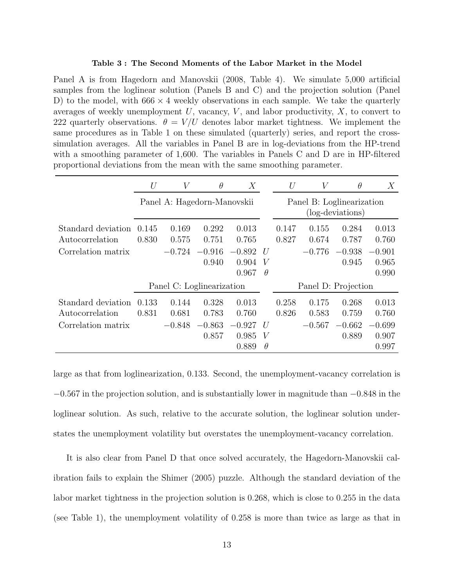#### **Table 3 : The Second Moments of the Labor Market in the Model**

Panel A is from Hagedorn and Manovskii (2008, Table 4). We simulate 5,000 artificial samples from the loglinear solution (Panels B and C) and the projection solution (Panel D) to the model, with  $666 \times 4$  weekly observations in each sample. We take the quarterly averages of weekly unemployment  $U$ , vacancy,  $V$ , and labor productivity,  $X$ , to convert to 222 quarterly observations.  $\theta = V/U$  denotes labor market tightness. We implement the same procedures as in Table 1 on these simulated (quarterly) series, and report the crosssimulation averages. All the variables in Panel B are in log-deviations from the HP-trend with a smoothing parameter of 1,600. The variables in Panels C and D are in HP-filtered proportional deviations from the mean with the same smoothing parameter.

|                                       | $\bar{U}$                   | V              | $\theta$                  | X                          |                    | U                                             | V              | $\theta$          | Х                          |
|---------------------------------------|-----------------------------|----------------|---------------------------|----------------------------|--------------------|-----------------------------------------------|----------------|-------------------|----------------------------|
|                                       | Panel A: Hagedorn-Manovskii |                |                           |                            |                    | Panel B: Loglinearization<br>(log-deviations) |                |                   |                            |
| Standard deviation<br>Autocorrelation | 0.145<br>0.830              | 0.169<br>0.575 | 0.292<br>0.751            | 0.013<br>0.765             |                    | 0.147<br>0.827                                | 0.155<br>0.674 | 0.284<br>0.787    | 0.013<br>0.760             |
| Correlation matrix                    |                             | $-0.724$       | $-0.916$<br>0.940         | $-0.892$<br>0.904          | U<br>V             |                                               | $-0.776$       | $-0.938$<br>0.945 | $-0.901$<br>0.965          |
|                                       |                             |                | Panel C: Loglinearization | 0.967                      | $\theta$           | 0.990<br>Panel D: Projection                  |                |                   |                            |
| Standard deviation<br>Autocorrelation | 0.133<br>0.831              | 0.144<br>0.681 | 0.328<br>0.783            | 0.013<br>0.760             |                    | 0.258<br>0.826                                | 0.175<br>0.583 | 0.268<br>0.759    | 0.013<br>0.760             |
| Correlation matrix                    |                             | $-0.848$       | $-0.863$<br>0.857         | $-0.927$<br>0.985<br>0.889 | U<br>V<br>$\theta$ |                                               | $-0.567$       | $-0.662$<br>0.889 | $-0.699$<br>0.907<br>0.997 |

large as that from loglinearization, 0.133. Second, the unemployment-vacancy correlation is −0.567 in the projection solution, and is substantially lower in magnitude than −0.848 in the loglinear solution. As such, relative to the accurate solution, the loglinear solution understates the unemployment volatility but overstates the unemployment-vacancy correlation.

It is also clear from Panel D that once solved accurately, the Hagedorn-Manovskii calibration fails to explain the Shimer (2005) puzzle. Although the standard deviation of the labor market tightness in the projection solution is 0.268, which is close to 0.255 in the data (see Table 1), the unemployment volatility of 0.258 is more than twice as large as that in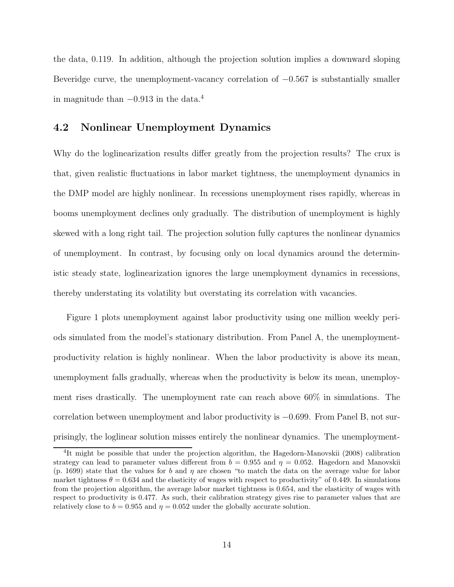the data, 0.119. In addition, although the projection solution implies a downward sloping Beveridge curve, the unemployment-vacancy correlation of  $-0.567$  is substantially smaller in magnitude than  $-0.913$  in the data.<sup>4</sup>

#### **4.2 Nonlinear Unemployment Dynamics**

Why do the loglinearization results differ greatly from the projection results? The crux is that, given realistic fluctuations in labor market tightness, the unemployment dynamics in the DMP model are highly nonlinear. In recessions unemployment rises rapidly, whereas in booms unemployment declines only gradually. The distribution of unemployment is highly skewed with a long right tail. The projection solution fully captures the nonlinear dynamics of unemployment. In contrast, by focusing only on local dynamics around the deterministic steady state, loglinearization ignores the large unemployment dynamics in recessions, thereby understating its volatility but overstating its correlation with vacancies.

Figure 1 plots unemployment against labor productivity using one million weekly periods simulated from the model's stationary distribution. From Panel A, the unemploymentproductivity relation is highly nonlinear. When the labor productivity is above its mean, unemployment falls gradually, whereas when the productivity is below its mean, unemployment rises drastically. The unemployment rate can reach above 60% in simulations. The correlation between unemployment and labor productivity is −0.699. From Panel B, not surprisingly, the loglinear solution misses entirely the nonlinear dynamics. The unemployment-

<sup>4</sup>It might be possible that under the projection algorithm, the Hagedorn-Manovskii (2008) calibration strategy can lead to parameter values different from  $b = 0.955$  and  $\eta = 0.052$ . Hagedorn and Manovskii (p. 1699) state that the values for b and  $\eta$  are chosen "to match the data on the average value for labor market tightness  $\theta = 0.634$  and the elasticity of wages with respect to productivity" of 0.449. In simulations from the projection algorithm, the average labor market tightness is 0.654, and the elasticity of wages with respect to productivity is 0.477. As such, their calibration strategy gives rise to parameter values that are relatively close to  $b = 0.955$  and  $\eta = 0.052$  under the globally accurate solution.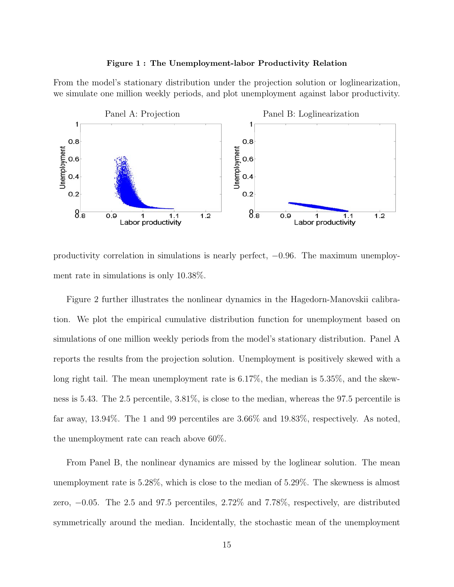#### **Figure 1 : The Unemployment-labor Productivity Relation**

From the model's stationary distribution under the projection solution or loglinearization, we simulate one million weekly periods, and plot unemployment against labor productivity.



productivity correlation in simulations is nearly perfect, −0.96. The maximum unemployment rate in simulations is only 10.38%.

Figure 2 further illustrates the nonlinear dynamics in the Hagedorn-Manovskii calibration. We plot the empirical cumulative distribution function for unemployment based on simulations of one million weekly periods from the model's stationary distribution. Panel A reports the results from the projection solution. Unemployment is positively skewed with a long right tail. The mean unemployment rate is 6.17%, the median is 5.35%, and the skewness is 5.43. The 2.5 percentile, 3.81%, is close to the median, whereas the 97.5 percentile is far away, 13.94%. The 1 and 99 percentiles are 3.66% and 19.83%, respectively. As noted, the unemployment rate can reach above 60%.

From Panel B, the nonlinear dynamics are missed by the loglinear solution. The mean unemployment rate is 5.28%, which is close to the median of 5.29%. The skewness is almost zero, −0.05. The 2.5 and 97.5 percentiles, 2.72% and 7.78%, respectively, are distributed symmetrically around the median. Incidentally, the stochastic mean of the unemployment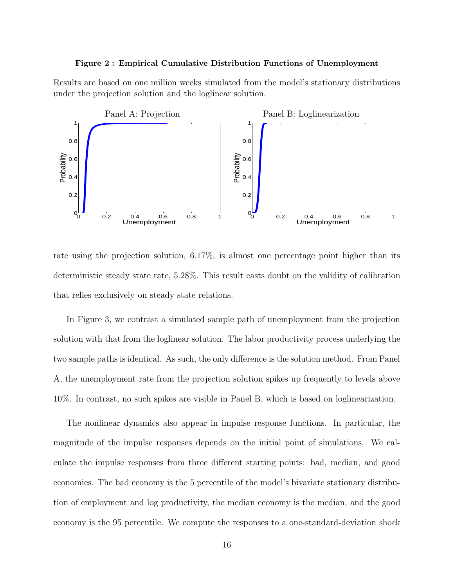#### **Figure 2 : Empirical Cumulative Distribution Functions of Unemployment**

Results are based on one million weeks simulated from the model's stationary distributions under the projection solution and the loglinear solution.



rate using the projection solution, 6.17%, is almost one percentage point higher than its deterministic steady state rate, 5.28%. This result casts doubt on the validity of calibration that relies exclusively on steady state relations.

In Figure 3, we contrast a simulated sample path of unemployment from the projection solution with that from the loglinear solution. The labor productivity process underlying the two sample paths is identical. As such, the only difference is the solution method. From Panel A, the unemployment rate from the projection solution spikes up frequently to levels above 10%. In contrast, no such spikes are visible in Panel B, which is based on loglinearization.

The nonlinear dynamics also appear in impulse response functions. In particular, the magnitude of the impulse responses depends on the initial point of simulations. We calculate the impulse responses from three different starting points: bad, median, and good economies. The bad economy is the 5 percentile of the model's bivariate stationary distribution of employment and log productivity, the median economy is the median, and the good economy is the 95 percentile. We compute the responses to a one-standard-deviation shock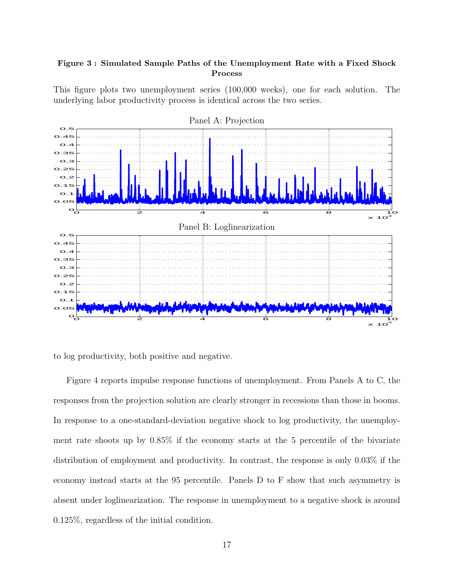#### **Figure 3 : Simulated Sample Paths of the Unemployment Rate with a Fixed Shock Process**

This figure plots two unemployment series (100,000 weeks), one for each solution. The underlying labor productivity process is identical across the two series.



to log productivity, both positive and negative.

Figure 4 reports impulse response functions of unemployment. From Panels A to C, the responses from the projection solution are clearly stronger in recessions than those in booms. In response to a one-standard-deviation negative shock to log productivity, the unemployment rate shoots up by 0.85% if the economy starts at the 5 percentile of the bivariate distribution of employment and productivity. In contrast, the response is only 0.03% if the economy instead starts at the 95 percentile. Panels D to F show that such asymmetry is absent under loglinearization. The response in unemployment to a negative shock is around 0.125%, regardless of the initial condition.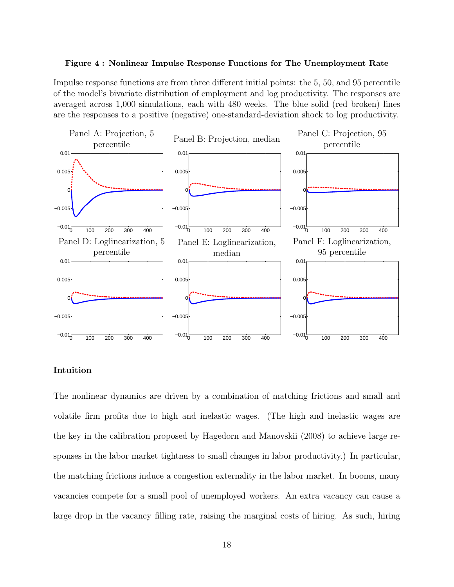#### **Figure 4 : Nonlinear Impulse Response Functions for The Unemployment Rate**

Impulse response functions are from three different initial points: the 5, 50, and 95 percentile of the model's bivariate distribution of employment and log productivity. The responses are averaged across 1,000 simulations, each with 480 weeks. The blue solid (red broken) lines are the responses to a positive (negative) one-standard-deviation shock to log productivity.



#### **Intuition**

The nonlinear dynamics are driven by a combination of matching frictions and small and volatile firm profits due to high and inelastic wages. (The high and inelastic wages are the key in the calibration proposed by Hagedorn and Manovskii (2008) to achieve large responses in the labor market tightness to small changes in labor productivity.) In particular, the matching frictions induce a congestion externality in the labor market. In booms, many vacancies compete for a small pool of unemployed workers. An extra vacancy can cause a large drop in the vacancy filling rate, raising the marginal costs of hiring. As such, hiring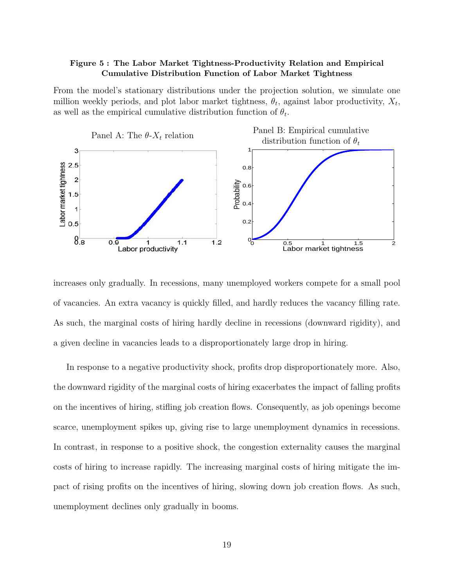#### **Figure 5 : The Labor Market Tightness-Productivity Relation and Empirical Cumulative Distribution Function of Labor Market Tightness**

From the model's stationary distributions under the projection solution, we simulate one million weekly periods, and plot labor market tightness,  $\theta_t$ , against labor productivity,  $X_t$ , as well as the empirical cumulative distribution function of  $\theta_t$ .



increases only gradually. In recessions, many unemployed workers compete for a small pool of vacancies. An extra vacancy is quickly filled, and hardly reduces the vacancy filling rate. As such, the marginal costs of hiring hardly decline in recessions (downward rigidity), and a given decline in vacancies leads to a disproportionately large drop in hiring.

In response to a negative productivity shock, profits drop disproportionately more. Also, the downward rigidity of the marginal costs of hiring exacerbates the impact of falling profits on the incentives of hiring, stifling job creation flows. Consequently, as job openings become scarce, unemployment spikes up, giving rise to large unemployment dynamics in recessions. In contrast, in response to a positive shock, the congestion externality causes the marginal costs of hiring to increase rapidly. The increasing marginal costs of hiring mitigate the impact of rising profits on the incentives of hiring, slowing down job creation flows. As such, unemployment declines only gradually in booms.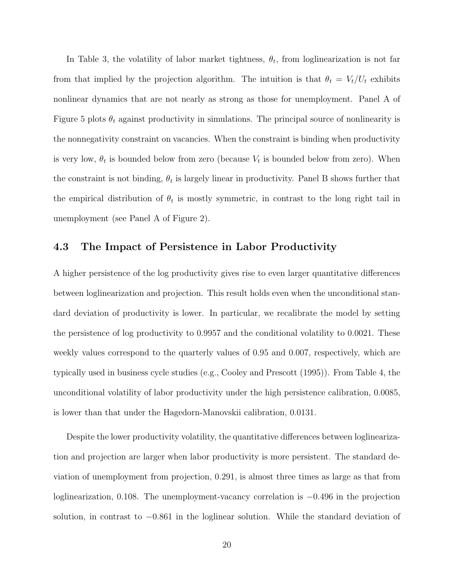In Table 3, the volatility of labor market tightness,  $\theta_t$ , from loglinearization is not far from that implied by the projection algorithm. The intuition is that  $\theta_t = V_t/U_t$  exhibits nonlinear dynamics that are not nearly as strong as those for unemployment. Panel A of Figure 5 plots  $\theta_t$  against productivity in simulations. The principal source of nonlinearity is the nonnegativity constraint on vacancies. When the constraint is binding when productivity is very low,  $\theta_t$  is bounded below from zero (because  $V_t$  is bounded below from zero). When the constraint is not binding,  $\theta_t$  is largely linear in productivity. Panel B shows further that the empirical distribution of  $\theta_t$  is mostly symmetric, in contrast to the long right tail in unemployment (see Panel A of Figure 2).

#### **4.3 The Impact of Persistence in Labor Productivity**

A higher persistence of the log productivity gives rise to even larger quantitative differences between loglinearization and projection. This result holds even when the unconditional standard deviation of productivity is lower. In particular, we recalibrate the model by setting the persistence of log productivity to 0.9957 and the conditional volatility to 0.0021. These weekly values correspond to the quarterly values of 0.95 and 0.007, respectively, which are typically used in business cycle studies (e.g., Cooley and Prescott (1995)). From Table 4, the unconditional volatility of labor productivity under the high persistence calibration, 0.0085, is lower than that under the Hagedorn-Manovskii calibration, 0.0131.

Despite the lower productivity volatility, the quantitative differences between loglinearization and projection are larger when labor productivity is more persistent. The standard deviation of unemployment from projection, 0.291, is almost three times as large as that from loglinearization, 0.108. The unemployment-vacancy correlation is −0.496 in the projection solution, in contrast to −0.861 in the loglinear solution. While the standard deviation of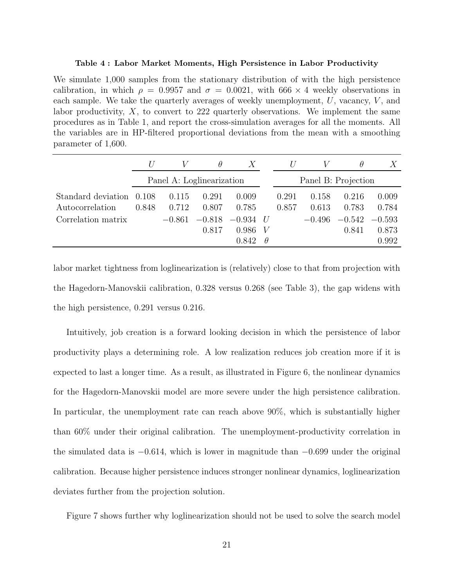#### **Table 4 : Labor Market Moments, High Persistence in Labor Productivity**

We simulate 1,000 samples from the stationary distribution of with the high persistence calibration, in which  $\rho = 0.9957$  and  $\sigma = 0.0021$ , with 666  $\times$  4 weekly observations in each sample. We take the quarterly averages of weekly unemployment,  $U$ , vacancy,  $V$ , and labor productivity,  $X$ , to convert to 222 quarterly observations. We implement the same procedures as in Table 1, and report the cross-simulation averages for all the moments. All the variables are in HP-filtered proportional deviations from the mean with a smoothing parameter of 1,600.

|                    |       |                           | $\theta$ | $\boldsymbol{X}$ |               | $\prime$ |                     | θ        |          |
|--------------------|-------|---------------------------|----------|------------------|---------------|----------|---------------------|----------|----------|
|                    |       | Panel A: Loglinearization |          |                  |               |          | Panel B: Projection |          |          |
| Standard deviation | 0.108 | 0.115                     | 0.291    | 0.009            |               | 0.291    | 0.158               | 0.216    | 0.009    |
| Autocorrelation    | 0.848 | 0.712                     | 0.807    | 0.785            |               | 0.857    | 0.613               | 0.783    | 0.784    |
| Correlation matrix |       | $-0.861$                  | $-0.818$ | $-0.934$         | $\frac{1}{2}$ |          | $-0.496$            | $-0.542$ | $-0.593$ |
|                    |       |                           | 0.817    | 0.986            | V             |          |                     | 0.841    | 0.873    |
|                    |       |                           |          | 0.842            | $\theta$      |          |                     |          | 0.992    |

labor market tightness from loglinearization is (relatively) close to that from projection with the Hagedorn-Manovskii calibration, 0.328 versus 0.268 (see Table 3), the gap widens with the high persistence, 0.291 versus 0.216.

Intuitively, job creation is a forward looking decision in which the persistence of labor productivity plays a determining role. A low realization reduces job creation more if it is expected to last a longer time. As a result, as illustrated in Figure 6, the nonlinear dynamics for the Hagedorn-Manovskii model are more severe under the high persistence calibration. In particular, the unemployment rate can reach above 90%, which is substantially higher than 60% under their original calibration. The unemployment-productivity correlation in the simulated data is  $-0.614$ , which is lower in magnitude than  $-0.699$  under the original calibration. Because higher persistence induces stronger nonlinear dynamics, loglinearization deviates further from the projection solution.

Figure 7 shows further why loglinearization should not be used to solve the search model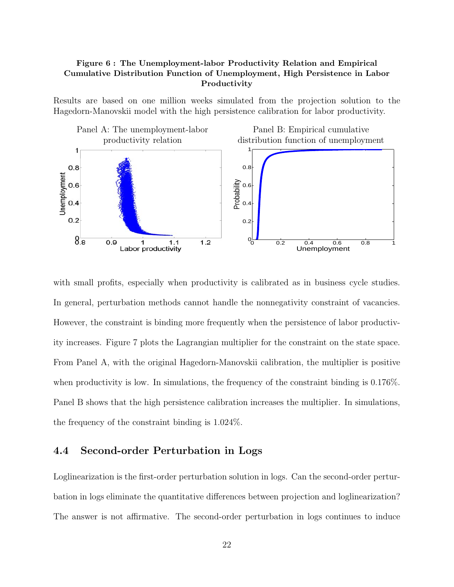#### **Figure 6 : The Unemployment-labor Productivity Relation and Empirical Cumulative Distribution Function of Unemployment, High Persistence in Labor Productivity**

Results are based on one million weeks simulated from the projection solution to the Hagedorn-Manovskii model with the high persistence calibration for labor productivity.



with small profits, especially when productivity is calibrated as in business cycle studies. In general, perturbation methods cannot handle the nonnegativity constraint of vacancies. However, the constraint is binding more frequently when the persistence of labor productivity increases. Figure 7 plots the Lagrangian multiplier for the constraint on the state space. From Panel A, with the original Hagedorn-Manovskii calibration, the multiplier is positive when productivity is low. In simulations, the frequency of the constraint binding is 0.176%. Panel B shows that the high persistence calibration increases the multiplier. In simulations, the frequency of the constraint binding is 1.024%.

#### **4.4 Second-order Perturbation in Logs**

Loglinearization is the first-order perturbation solution in logs. Can the second-order perturbation in logs eliminate the quantitative differences between projection and loglinearization? The answer is not affirmative. The second-order perturbation in logs continues to induce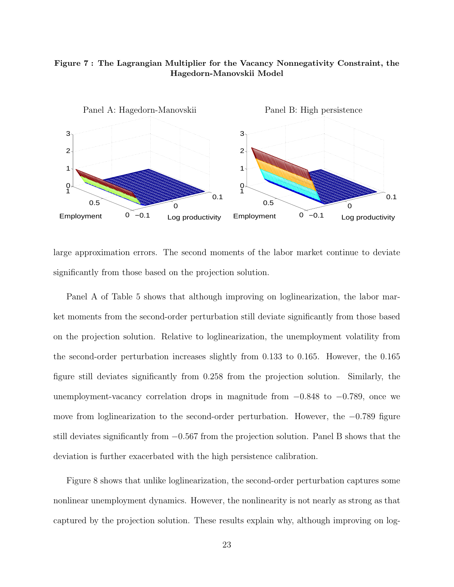#### **Figure 7 : The Lagrangian Multiplier for the Vacancy Nonnegativity Constraint, the Hagedorn-Manovskii Model**



large approximation errors. The second moments of the labor market continue to deviate significantly from those based on the projection solution.

Panel A of Table 5 shows that although improving on loglinearization, the labor market moments from the second-order perturbation still deviate significantly from those based on the projection solution. Relative to loglinearization, the unemployment volatility from the second-order perturbation increases slightly from 0.133 to 0.165. However, the 0.165 figure still deviates significantly from 0.258 from the projection solution. Similarly, the unemployment-vacancy correlation drops in magnitude from  $-0.848$  to  $-0.789$ , once we move from loglinearization to the second-order perturbation. However, the −0.789 figure still deviates significantly from −0.567 from the projection solution. Panel B shows that the deviation is further exacerbated with the high persistence calibration.

Figure 8 shows that unlike loglinearization, the second-order perturbation captures some nonlinear unemployment dynamics. However, the nonlinearity is not nearly as strong as that captured by the projection solution. These results explain why, although improving on log-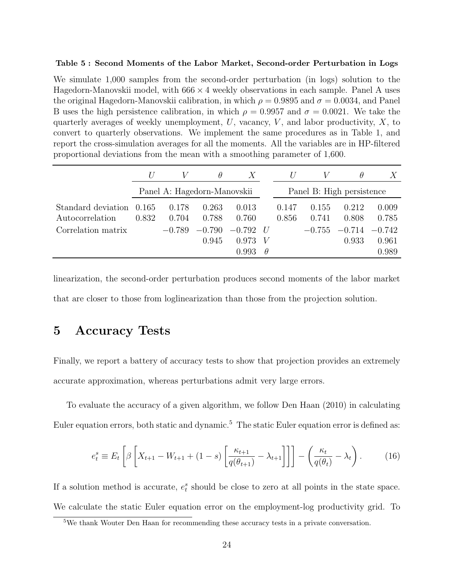#### **Table 5 : Second Moments of the Labor Market, Second-order Perturbation in Logs**

We simulate 1,000 samples from the second-order perturbation (in logs) solution to the Hagedorn-Manovskii model, with  $666 \times 4$  weekly observations in each sample. Panel A uses the original Hagedorn-Manovskii calibration, in which  $\rho = 0.9895$  and  $\sigma = 0.0034$ , and Panel B uses the high persistence calibration, in which  $\rho = 0.9957$  and  $\sigma = 0.0021$ . We take the quarterly averages of weekly unemployment,  $U$ , vacancy,  $V$ , and labor productivity,  $X$ , to convert to quarterly observations. We implement the same procedures as in Table 1, and report the cross-simulation averages for all the moments. All the variables are in HP-filtered proportional deviations from the mean with a smoothing parameter of 1,600.

|                                       |                |                | $\theta$                    | $\boldsymbol{X}$ |               |                |                           | $\theta$       |                |
|---------------------------------------|----------------|----------------|-----------------------------|------------------|---------------|----------------|---------------------------|----------------|----------------|
|                                       |                |                | Panel A: Hagedorn-Manovskii |                  |               |                | Panel B: High persistence |                |                |
| Standard deviation<br>Autocorrelation | 0.165<br>0.832 | 0.178<br>0.704 | 0.263<br>0.788              | 0.013<br>0.760   |               | 0.147<br>0.856 | 0.155<br>0.741            | 0.212<br>0.808 | 0.009<br>0.785 |
| Correlation matrix                    |                | $-0.789$       | $-0.790$                    | $-0.792$         | $\frac{1}{2}$ |                | $-0.755$                  | $-0.714$       | $-0.742$       |
|                                       |                |                | 0.945                       | 0.973            | V             |                |                           | 0.933          | 0.961          |
|                                       |                |                |                             | 0.993            | $\theta$      |                |                           |                | 0.989          |

linearization, the second-order perturbation produces second moments of the labor market that are closer to those from loglinearization than those from the projection solution.

# **5 Accuracy Tests**

Finally, we report a battery of accuracy tests to show that projection provides an extremely accurate approximation, whereas perturbations admit very large errors.

To evaluate the accuracy of a given algorithm, we follow Den Haan (2010) in calculating Euler equation errors, both static and dynamic.<sup>5</sup> The static Euler equation error is defined as:

$$
e_t^s \equiv E_t \left[ \beta \left[ X_{t+1} - W_{t+1} + (1-s) \left[ \frac{\kappa_{t+1}}{q(\theta_{t+1})} - \lambda_{t+1} \right] \right] \right] - \left( \frac{\kappa_t}{q(\theta_t)} - \lambda_t \right). \tag{16}
$$

If a solution method is accurate,  $e_t^s$  should be close to zero at all points in the state space. We calculate the static Euler equation error on the employment-log productivity grid. To

<sup>5</sup>We thank Wouter Den Haan for recommending these accuracy tests in a private conversation.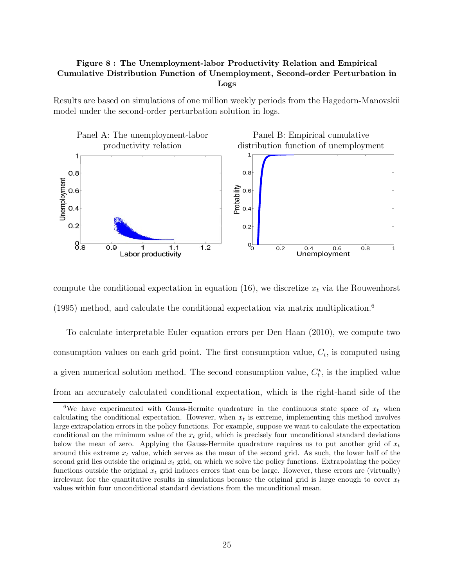#### **Figure 8 : The Unemployment-labor Productivity Relation and Empirical Cumulative Distribution Function of Unemployment, Second-order Perturbation in Logs**

Results are based on simulations of one million weekly periods from the Hagedorn-Manovskii model under the second-order perturbation solution in logs.



compute the conditional expectation in equation (16), we discretize  $x_t$  via the Rouwenhorst  $(1995)$  method, and calculate the conditional expectation via matrix multiplication.<sup>6</sup>

To calculate interpretable Euler equation errors per Den Haan (2010), we compute two consumption values on each grid point. The first consumption value,  $C_t$ , is computed using a given numerical solution method. The second consumption value,  $C_t^*$ , is the implied value from an accurately calculated conditional expectation, which is the right-hand side of the

<sup>&</sup>lt;sup>6</sup>We have experimented with Gauss-Hermite quadrature in the continuous state space of  $x_t$  when calculating the conditional expectation. However, when  $x_t$  is extreme, implementing this method involves large extrapolation errors in the policy functions. For example, suppose we want to calculate the expectation conditional on the minimum value of the x*<sup>t</sup>* grid, which is precisely four unconditional standard deviations below the mean of zero. Applying the Gauss-Hermite quadrature requires us to put another grid of  $x_t$ around this extreme  $x_t$  value, which serves as the mean of the second grid. As such, the lower half of the second grid lies outside the original  $x_t$  grid, on which we solve the policy functions. Extrapolating the policy functions outside the original x*<sup>t</sup>* grid induces errors that can be large. However, these errors are (virtually) irrelevant for the quantitative results in simulations because the original grid is large enough to cover  $x_t$ values within four unconditional standard deviations from the unconditional mean.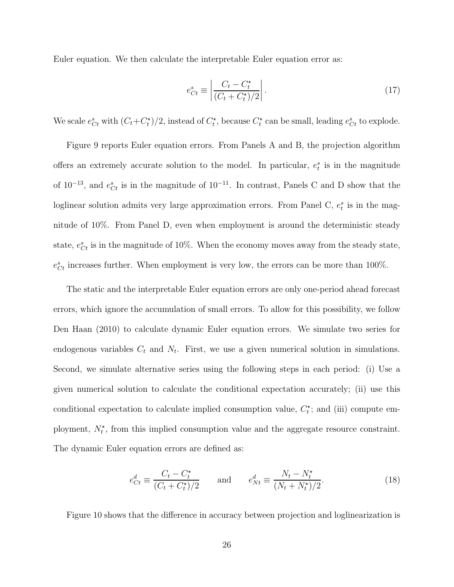Euler equation. We then calculate the interpretable Euler equation error as:

$$
e_{Ct}^s \equiv \left| \frac{C_t - C_t^{\star}}{(C_t + C_t^{\star})/2} \right|.
$$
\n(17)

We scale  $e_{Ct}^s$  with  $(C_t + C_t^{\star})/2$ , instead of  $C_t^{\star}$ , because  $C_t^{\star}$  can be small, leading  $e_{Ct}^s$  to explode.

Figure 9 reports Euler equation errors. From Panels A and B, the projection algorithm offers an extremely accurate solution to the model. In particular,  $e_t^s$  is in the magnitude of  $10^{-13}$ , and  $e_{Ct}^s$  is in the magnitude of  $10^{-11}$ . In contrast, Panels C and D show that the loglinear solution admits very large approximation errors. From Panel C,  $e_t^s$  is in the magnitude of 10%. From Panel D, even when employment is around the deterministic steady state,  $e_{Ct}^{s}$  is in the magnitude of 10%. When the economy moves away from the steady state,  $e_{Ct}^{s}$  increases further. When employment is very low, the errors can be more than 100%.

The static and the interpretable Euler equation errors are only one-period ahead forecast errors, which ignore the accumulation of small errors. To allow for this possibility, we follow Den Haan (2010) to calculate dynamic Euler equation errors. We simulate two series for endogenous variables  $C_t$  and  $N_t$ . First, we use a given numerical solution in simulations. Second, we simulate alternative series using the following steps in each period: (i) Use a given numerical solution to calculate the conditional expectation accurately; (ii) use this conditional expectation to calculate implied consumption value,  $C_t^*$ ; and (iii) compute employment,  $N_t^*$ , from this implied consumption value and the aggregate resource constraint. The dynamic Euler equation errors are defined as:

$$
e_{Ct}^d \equiv \frac{C_t - C_t^*}{(C_t + C_t^*)/2} \quad \text{and} \quad e_{Nt}^d \equiv \frac{N_t - N_t^*}{(N_t + N_t^*)/2}.
$$
 (18)

Figure 10 shows that the difference in accuracy between projection and loglinearization is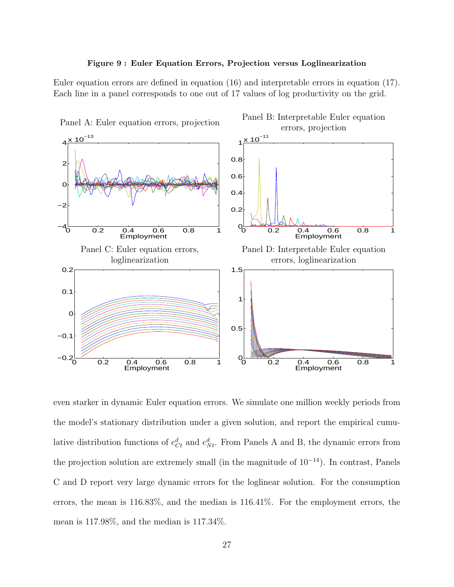

Euler equation errors are defined in equation (16) and interpretable errors in equation (17). Each line in a panel corresponds to one out of 17 values of log productivity on the grid.



even starker in dynamic Euler equation errors. We simulate one million weekly periods from the model's stationary distribution under a given solution, and report the empirical cumulative distribution functions of  $e_{C_t}^d$  and  $e_{N_t}^d$ . From Panels A and B, the dynamic errors from the projection solution are extremely small (in the magnitude of 10<sup>−</sup><sup>14</sup>). In contrast, Panels C and D report very large dynamic errors for the loglinear solution. For the consumption errors, the mean is 116.83%, and the median is 116.41%. For the employment errors, the mean is 117.98%, and the median is 117.34%.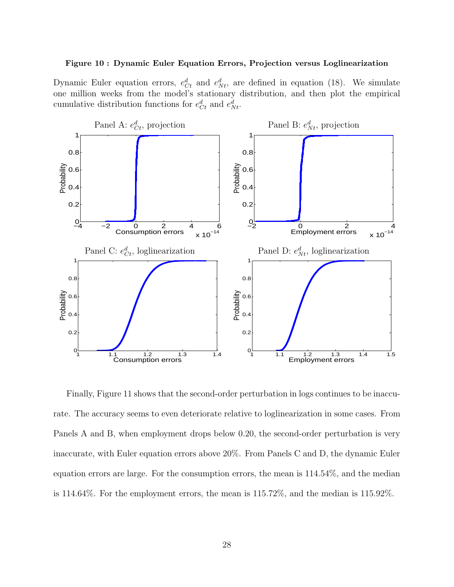#### **Figure 10 : Dynamic Euler Equation Errors, Projection versus Loglinearization**

Dynamic Euler equation errors,  $e_{C_t}^d$  and  $e_{N_t}^d$ , are defined in equation (18). We simulate one million weeks from the model's stationary distribution, and then plot the empirical cumulative distribution functions for  $e_{C_t}^d$  and  $e_{N_t}^d$ .



Finally, Figure 11 shows that the second-order perturbation in logs continues to be inaccurate. The accuracy seems to even deteriorate relative to loglinearization in some cases. From Panels A and B, when employment drops below 0.20, the second-order perturbation is very inaccurate, with Euler equation errors above 20%. From Panels C and D, the dynamic Euler equation errors are large. For the consumption errors, the mean is 114.54%, and the median is 114.64%. For the employment errors, the mean is 115.72%, and the median is 115.92%.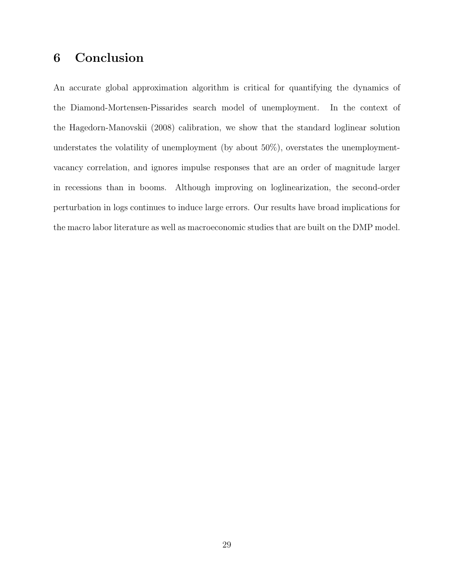# **6 Conclusion**

An accurate global approximation algorithm is critical for quantifying the dynamics of the Diamond-Mortensen-Pissarides search model of unemployment. In the context of the Hagedorn-Manovskii (2008) calibration, we show that the standard loglinear solution understates the volatility of unemployment (by about  $50\%$ ), overstates the unemploymentvacancy correlation, and ignores impulse responses that are an order of magnitude larger in recessions than in booms. Although improving on loglinearization, the second-order perturbation in logs continues to induce large errors. Our results have broad implications for the macro labor literature as well as macroeconomic studies that are built on the DMP model.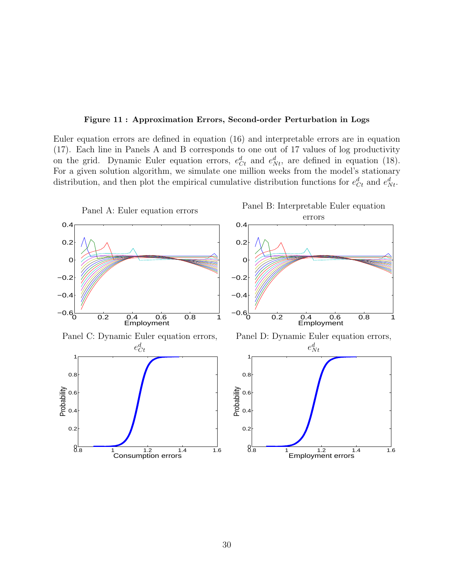#### **Figure 11 : Approximation Errors, Second-order Perturbation in Logs**

Euler equation errors are defined in equation (16) and interpretable errors are in equation (17). Each line in Panels A and B corresponds to one out of 17 values of log productivity on the grid. Dynamic Euler equation errors,  $e_{C_t}^d$  and  $e_{N_t}^d$ , are defined in equation (18). For a given solution algorithm, we simulate one million weeks from the model's stationary distribution, and then plot the empirical cumulative distribution functions for  $e_{C_t}^d$  and  $e_{N_t}^d$ .

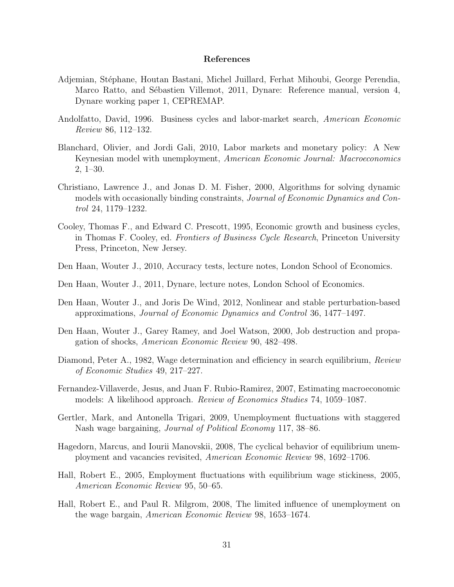#### **References**

- Adjemian, Stéphane, Houtan Bastani, Michel Juillard, Ferhat Mihoubi, George Perendia, Marco Ratto, and Sébastien Villemot, 2011, Dynare: Reference manual, version 4, Dynare working paper 1, CEPREMAP.
- Andolfatto, David, 1996. Business cycles and labor-market search, *American Economic Review* 86, 112–132.
- Blanchard, Olivier, and Jordi Gali, 2010, Labor markets and monetary policy: A New Keynesian model with unemployment, *American Economic Journal: Macroeconomics* 2, 1–30.
- Christiano, Lawrence J., and Jonas D. M. Fisher, 2000, Algorithms for solving dynamic models with occasionally binding constraints, *Journal of Economic Dynamics and Control* 24, 1179–1232.
- Cooley, Thomas F., and Edward C. Prescott, 1995, Economic growth and business cycles, in Thomas F. Cooley, ed. *Frontiers of Business Cycle Research*, Princeton University Press, Princeton, New Jersey.
- Den Haan, Wouter J., 2010, Accuracy tests, lecture notes, London School of Economics.
- Den Haan, Wouter J., 2011, Dynare, lecture notes, London School of Economics.
- Den Haan, Wouter J., and Joris De Wind, 2012, Nonlinear and stable perturbation-based approximations, *Journal of Economic Dynamics and Control* 36, 1477–1497.
- Den Haan, Wouter J., Garey Ramey, and Joel Watson, 2000, Job destruction and propagation of shocks, *American Economic Review* 90, 482–498.
- Diamond, Peter A., 1982, Wage determination and efficiency in search equilibrium, *Review of Economic Studies* 49, 217–227.
- Fernandez-Villaverde, Jesus, and Juan F. Rubio-Ramirez, 2007, Estimating macroeconomic models: A likelihood approach. *Review of Economics Studies* 74, 1059–1087.
- Gertler, Mark, and Antonella Trigari, 2009, Unemployment fluctuations with staggered Nash wage bargaining, *Journal of Political Economy* 117, 38–86.
- Hagedorn, Marcus, and Iourii Manovskii, 2008, The cyclical behavior of equilibrium unemployment and vacancies revisited, *American Economic Review* 98, 1692–1706.
- Hall, Robert E., 2005, Employment fluctuations with equilibrium wage stickiness, 2005, *American Economic Review* 95, 50–65.
- Hall, Robert E., and Paul R. Milgrom, 2008, The limited influence of unemployment on the wage bargain, *American Economic Review* 98, 1653–1674.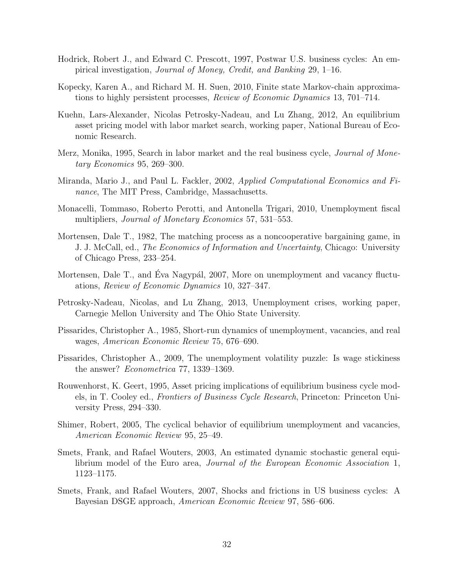- Hodrick, Robert J., and Edward C. Prescott, 1997, Postwar U.S. business cycles: An empirical investigation, *Journal of Money, Credit, and Banking* 29, 1–16.
- Kopecky, Karen A., and Richard M. H. Suen, 2010, Finite state Markov-chain approximations to highly persistent processes, *Review of Economic Dynamics* 13, 701–714.
- Kuehn, Lars-Alexander, Nicolas Petrosky-Nadeau, and Lu Zhang, 2012, An equilibrium asset pricing model with labor market search, working paper, National Bureau of Economic Research.
- Merz, Monika, 1995, Search in labor market and the real business cycle, *Journal of Monetary Economics* 95, 269–300.
- Miranda, Mario J., and Paul L. Fackler, 2002, *Applied Computational Economics and Finance*, The MIT Press, Cambridge, Massachusetts.
- Monacelli, Tommaso, Roberto Perotti, and Antonella Trigari, 2010, Unemployment fiscal multipliers, *Journal of Monetary Economics* 57, 531–553.
- Mortensen, Dale T., 1982, The matching process as a noncooperative bargaining game, in J. J. McCall, ed., *The Economics of Information and Uncertainty*, Chicago: University of Chicago Press, 233–254.
- Mortensen, Dale T., and Eva Nagypál, 2007, More on unemployment and vacancy fluctuations, *Review of Economic Dynamics* 10, 327–347.
- Petrosky-Nadeau, Nicolas, and Lu Zhang, 2013, Unemployment crises, working paper, Carnegie Mellon University and The Ohio State University.
- Pissarides, Christopher A., 1985, Short-run dynamics of unemployment, vacancies, and real wages, *American Economic Review* 75, 676–690.
- Pissarides, Christopher A., 2009, The unemployment volatility puzzle: Is wage stickiness the answer? *Econometrica* 77, 1339–1369.
- Rouwenhorst, K. Geert, 1995, Asset pricing implications of equilibrium business cycle models, in T. Cooley ed., *Frontiers of Business Cycle Research*, Princeton: Princeton University Press, 294–330.
- Shimer, Robert, 2005, The cyclical behavior of equilibrium unemployment and vacancies, *American Economic Review* 95, 25–49.
- Smets, Frank, and Rafael Wouters, 2003, An estimated dynamic stochastic general equilibrium model of the Euro area, *Journal of the European Economic Association* 1, 1123–1175.
- Smets, Frank, and Rafael Wouters, 2007, Shocks and frictions in US business cycles: A Bayesian DSGE approach, *American Economic Review* 97, 586–606.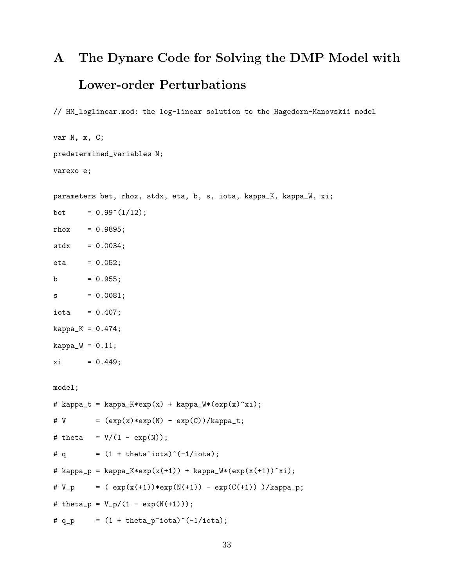# **A The Dynare Code for Solving the DMP Model with Lower-order Perturbations**

// HM\_loglinear.mod: the log-linear solution to the Hagedorn-Manovskii model

```
var N, x, C;
predetermined_variables N;
varexo e;
parameters bet, rhox, stdx, eta, b, s, iota, kappa_K, kappa_W, xi;
bet = 0.99^{\circ}(1/12);
rhox = 0.9895;
stdx = 0.0034;eta = 0.052;b = 0.955;s = 0.0081;iota = 0.407;kappa_K = 0.474;kappa_W = 0.11;
xi = 0.449;model;
# kappa_t = kappa_K*exp(x) + kappa_W*(exp(x)^xi);
# V = (exp(x)*exp(N) - exp(C))/kappa_t;# theta = V/(1 - \exp(N));
# q = (1 + \text{theta}^i\text{iota})^(-1/\text{iota});# kappa_p = kappa_K*exp(x(+1)) + kappa_W*(exp(x(+1))^xi);
\# V_p = (\exp(x(+1)) * exp(N(+1)) - exp(C(+1)) )/kappa_p;# theta_p = V_p/(1 - exp(N(+1)));
# q_p = (1 + \theta_p^i)^(-1/\theta);
```